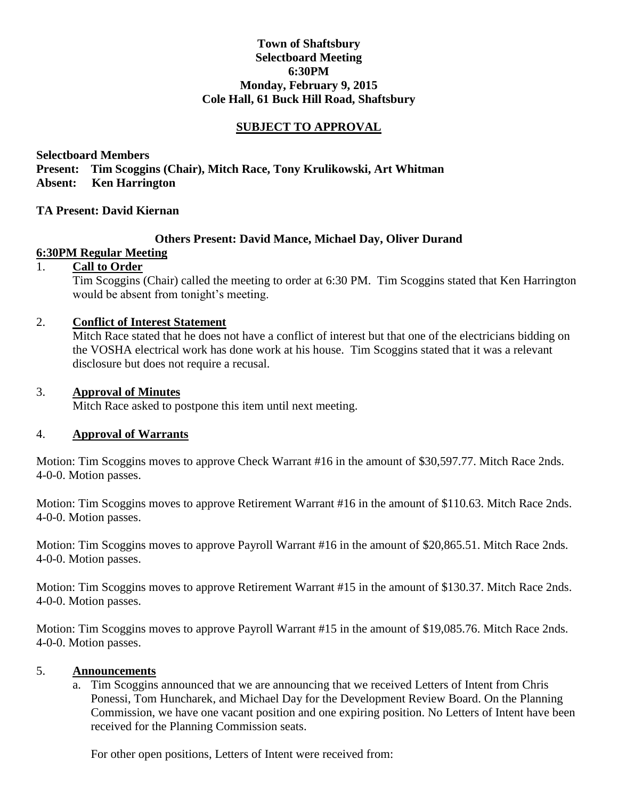## **Town of Shaftsbury Selectboard Meeting 6:30PM Monday, February 9, 2015 Cole Hall, 61 Buck Hill Road, Shaftsbury**

## **SUBJECT TO APPROVAL**

**Selectboard Members Present: Tim Scoggins (Chair), Mitch Race, Tony Krulikowski, Art Whitman Absent: Ken Harrington**

#### **TA Present: David Kiernan**

#### **Others Present: David Mance, Michael Day, Oliver Durand**

### **6:30PM Regular Meeting**

# 1. **Call to Order**

Tim Scoggins (Chair) called the meeting to order at 6:30 PM. Tim Scoggins stated that Ken Harrington would be absent from tonight's meeting.

#### 2. **Conflict of Interest Statement**

Mitch Race stated that he does not have a conflict of interest but that one of the electricians bidding on the VOSHA electrical work has done work at his house. Tim Scoggins stated that it was a relevant disclosure but does not require a recusal.

#### 3. **Approval of Minutes**

Mitch Race asked to postpone this item until next meeting.

#### 4. **Approval of Warrants**

Motion: Tim Scoggins moves to approve Check Warrant #16 in the amount of \$30,597.77. Mitch Race 2nds. 4-0-0. Motion passes.

Motion: Tim Scoggins moves to approve Retirement Warrant #16 in the amount of \$110.63. Mitch Race 2nds. 4-0-0. Motion passes.

Motion: Tim Scoggins moves to approve Payroll Warrant #16 in the amount of \$20,865.51. Mitch Race 2nds. 4-0-0. Motion passes.

Motion: Tim Scoggins moves to approve Retirement Warrant #15 in the amount of \$130.37. Mitch Race 2nds. 4-0-0. Motion passes.

Motion: Tim Scoggins moves to approve Payroll Warrant #15 in the amount of \$19,085.76. Mitch Race 2nds. 4-0-0. Motion passes.

#### 5. **Announcements**

a. Tim Scoggins announced that we are announcing that we received Letters of Intent from Chris Ponessi, Tom Huncharek, and Michael Day for the Development Review Board. On the Planning Commission, we have one vacant position and one expiring position. No Letters of Intent have been received for the Planning Commission seats.

For other open positions, Letters of Intent were received from: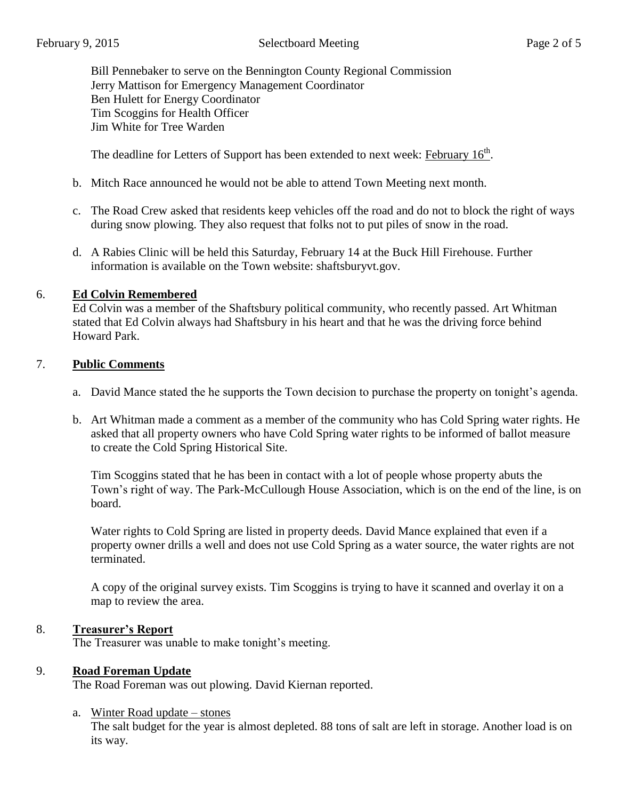Bill Pennebaker to serve on the Bennington County Regional Commission Jerry Mattison for Emergency Management Coordinator Ben Hulett for Energy Coordinator Tim Scoggins for Health Officer Jim White for Tree Warden

The deadline for Letters of Support has been extended to next week: February 16<sup>th</sup>.

- b. Mitch Race announced he would not be able to attend Town Meeting next month.
- c. The Road Crew asked that residents keep vehicles off the road and do not to block the right of ways during snow plowing. They also request that folks not to put piles of snow in the road.
- d. A Rabies Clinic will be held this Saturday, February 14 at the Buck Hill Firehouse. Further information is available on the Town website: shaftsburyvt.gov.

# 6. **Ed Colvin Remembered**

Ed Colvin was a member of the Shaftsbury political community, who recently passed. Art Whitman stated that Ed Colvin always had Shaftsbury in his heart and that he was the driving force behind Howard Park.

# 7. **Public Comments**

- a. David Mance stated the he supports the Town decision to purchase the property on tonight's agenda.
- b. Art Whitman made a comment as a member of the community who has Cold Spring water rights. He asked that all property owners who have Cold Spring water rights to be informed of ballot measure to create the Cold Spring Historical Site.

Tim Scoggins stated that he has been in contact with a lot of people whose property abuts the Town's right of way. The Park-McCullough House Association, which is on the end of the line, is on board.

Water rights to Cold Spring are listed in property deeds. David Mance explained that even if a property owner drills a well and does not use Cold Spring as a water source, the water rights are not terminated.

A copy of the original survey exists. Tim Scoggins is trying to have it scanned and overlay it on a map to review the area.

## 8. **Treasurer's Report**

The Treasurer was unable to make tonight's meeting.

## 9. **Road Foreman Update**

The Road Foreman was out plowing. David Kiernan reported.

## a. Winter Road update – stones

The salt budget for the year is almost depleted. 88 tons of salt are left in storage. Another load is on its way.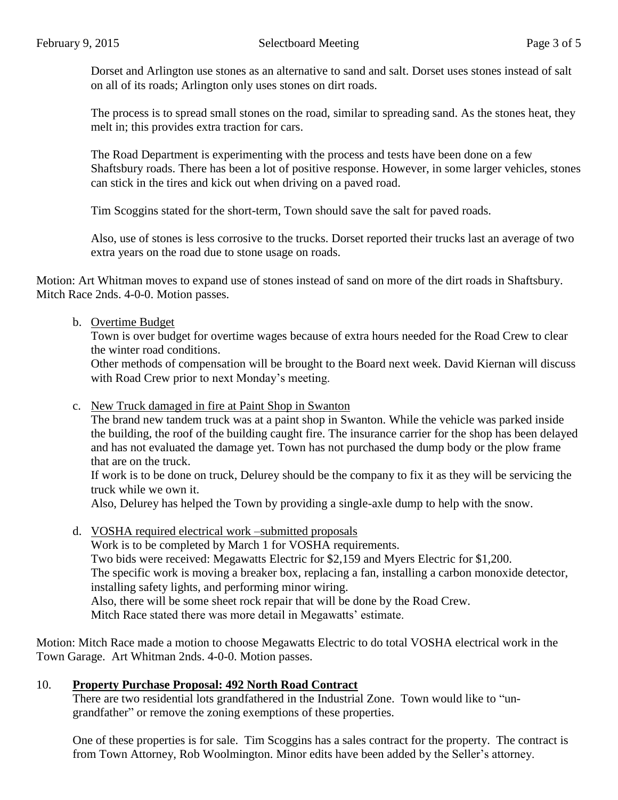Dorset and Arlington use stones as an alternative to sand and salt. Dorset uses stones instead of salt on all of its roads; Arlington only uses stones on dirt roads.

The process is to spread small stones on the road, similar to spreading sand. As the stones heat, they melt in; this provides extra traction for cars.

The Road Department is experimenting with the process and tests have been done on a few Shaftsbury roads. There has been a lot of positive response. However, in some larger vehicles, stones can stick in the tires and kick out when driving on a paved road.

Tim Scoggins stated for the short-term, Town should save the salt for paved roads.

Also, use of stones is less corrosive to the trucks. Dorset reported their trucks last an average of two extra years on the road due to stone usage on roads.

Motion: Art Whitman moves to expand use of stones instead of sand on more of the dirt roads in Shaftsbury. Mitch Race 2nds. 4-0-0. Motion passes.

### b. Overtime Budget

Town is over budget for overtime wages because of extra hours needed for the Road Crew to clear the winter road conditions.

Other methods of compensation will be brought to the Board next week. David Kiernan will discuss with Road Crew prior to next Monday's meeting.

c. New Truck damaged in fire at Paint Shop in Swanton

The brand new tandem truck was at a paint shop in Swanton. While the vehicle was parked inside the building, the roof of the building caught fire. The insurance carrier for the shop has been delayed and has not evaluated the damage yet. Town has not purchased the dump body or the plow frame that are on the truck.

If work is to be done on truck, Delurey should be the company to fix it as they will be servicing the truck while we own it.

Also, Delurey has helped the Town by providing a single-axle dump to help with the snow.

d. VOSHA required electrical work –submitted proposals Work is to be completed by March 1 for VOSHA requirements. Two bids were received: Megawatts Electric for \$2,159 and Myers Electric for \$1,200. The specific work is moving a breaker box, replacing a fan, installing a carbon monoxide detector, installing safety lights, and performing minor wiring. Also, there will be some sheet rock repair that will be done by the Road Crew. Mitch Race stated there was more detail in Megawatts' estimate.

Motion: Mitch Race made a motion to choose Megawatts Electric to do total VOSHA electrical work in the Town Garage. Art Whitman 2nds. 4-0-0. Motion passes.

## 10. **Property Purchase Proposal: 492 North Road Contract**

There are two residential lots grandfathered in the Industrial Zone. Town would like to "ungrandfather" or remove the zoning exemptions of these properties.

One of these properties is for sale. Tim Scoggins has a sales contract for the property. The contract is from Town Attorney, Rob Woolmington. Minor edits have been added by the Seller's attorney.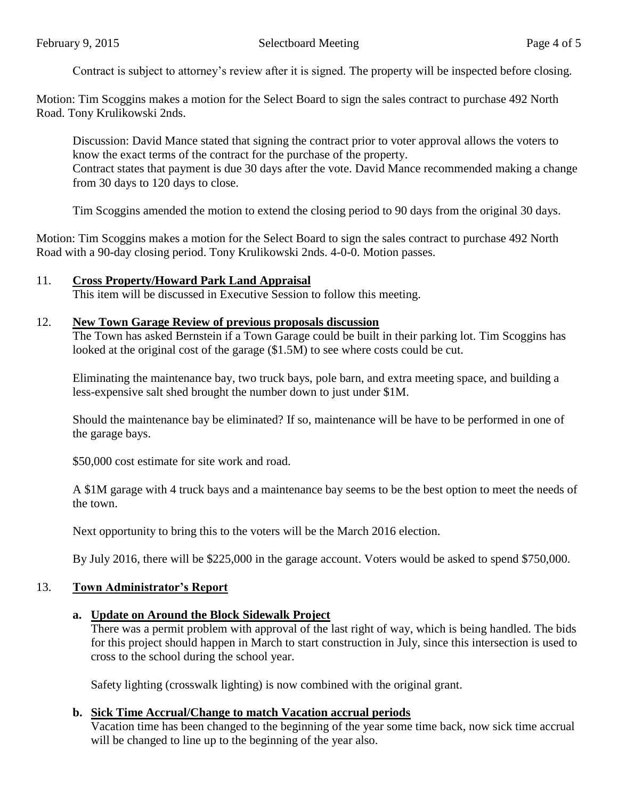Contract is subject to attorney's review after it is signed. The property will be inspected before closing.

Motion: Tim Scoggins makes a motion for the Select Board to sign the sales contract to purchase 492 North Road. Tony Krulikowski 2nds.

Discussion: David Mance stated that signing the contract prior to voter approval allows the voters to know the exact terms of the contract for the purchase of the property. Contract states that payment is due 30 days after the vote. David Mance recommended making a change from 30 days to 120 days to close.

Tim Scoggins amended the motion to extend the closing period to 90 days from the original 30 days.

Motion: Tim Scoggins makes a motion for the Select Board to sign the sales contract to purchase 492 North Road with a 90-day closing period. Tony Krulikowski 2nds. 4-0-0. Motion passes.

### 11. **Cross Property/Howard Park Land Appraisal**

This item will be discussed in Executive Session to follow this meeting.

#### 12. **New Town Garage Review of previous proposals discussion**

The Town has asked Bernstein if a Town Garage could be built in their parking lot. Tim Scoggins has looked at the original cost of the garage (\$1.5M) to see where costs could be cut.

Eliminating the maintenance bay, two truck bays, pole barn, and extra meeting space, and building a less-expensive salt shed brought the number down to just under \$1M.

Should the maintenance bay be eliminated? If so, maintenance will be have to be performed in one of the garage bays.

\$50,000 cost estimate for site work and road.

A \$1M garage with 4 truck bays and a maintenance bay seems to be the best option to meet the needs of the town.

Next opportunity to bring this to the voters will be the March 2016 election.

By July 2016, there will be \$225,000 in the garage account. Voters would be asked to spend \$750,000.

#### 13. **Town Administrator's Report**

#### **a. Update on Around the Block Sidewalk Project**

There was a permit problem with approval of the last right of way, which is being handled. The bids for this project should happen in March to start construction in July, since this intersection is used to cross to the school during the school year.

Safety lighting (crosswalk lighting) is now combined with the original grant.

#### **b. Sick Time Accrual/Change to match Vacation accrual periods**

Vacation time has been changed to the beginning of the year some time back, now sick time accrual will be changed to line up to the beginning of the year also.